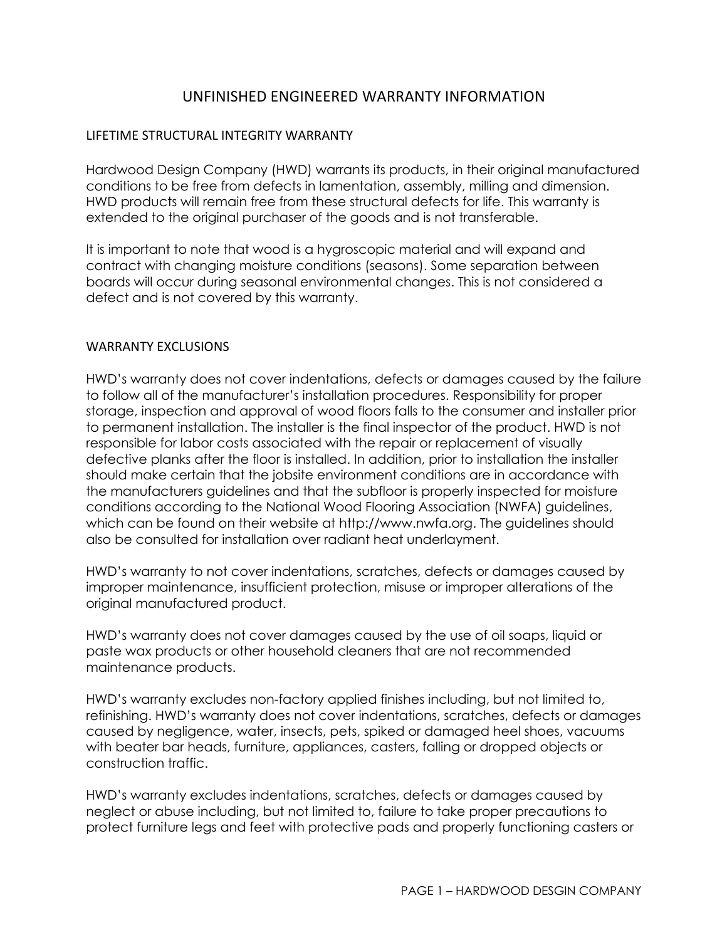# UNFINISHED ENGINEERED WARRANTY INFORMATION

### LIFETIME STRUCTURAL INTEGRITY WARRANTY

Hardwood Design Company (HWD) warrants its products, in their original manufactured conditions to be free from defects in lamentation, assembly, milling and dimension. HWD products will remain free from these structural defects for life. This warranty is extended to the original purchaser of the goods and is not transferable.

It is important to note that wood is a hygroscopic material and will expand and contract with changing moisture conditions (seasons). Some separation between boards will occur during seasonal environmental changes. This is not considered a defect and is not covered by this warranty.

### WARRANTY EXCLUSIONS

HWD's warranty does not cover indentations, defects or damages caused by the failure to follow all of the manufacturer's installation procedures. Responsibility for proper storage, inspection and approval of wood floors falls to the consumer and installer prior to permanent installation. The installer is the final inspector of the product. HWD is not responsible for labor costs associated with the repair or replacement of visually defective planks after the floor is installed. In addition, prior to installation the installer should make certain that the jobsite environment conditions are in accordance with the manufacturers guidelines and that the subfloor is properly inspected for moisture conditions according to the National Wood Flooring Association (NWFA) guidelines, which can be found on their website at http://www.nwfa.org. The guidelines should also be consulted for installation over radiant heat underlayment.

HWD's warranty to not cover indentations, scratches, defects or damages caused by improper maintenance, insufficient protection, misuse or improper alterations of the original manufactured product.

HWD's warranty does not cover damages caused by the use of oil soaps, liquid or paste wax products or other household cleaners that are not recommended maintenance products.

HWD's warranty excludes non-factory applied finishes including, but not limited to, refinishing. HWD's warranty does not cover indentations, scratches, defects or damages caused by negligence, water, insects, pets, spiked or damaged heel shoes, vacuums with beater bar heads, furniture, appliances, casters, falling or dropped objects or construction traffic.

HWD's warranty excludes indentations, scratches, defects or damages caused by neglect or abuse including, but not limited to, failure to take proper precautions to protect furniture legs and feet with protective pads and properly functioning casters or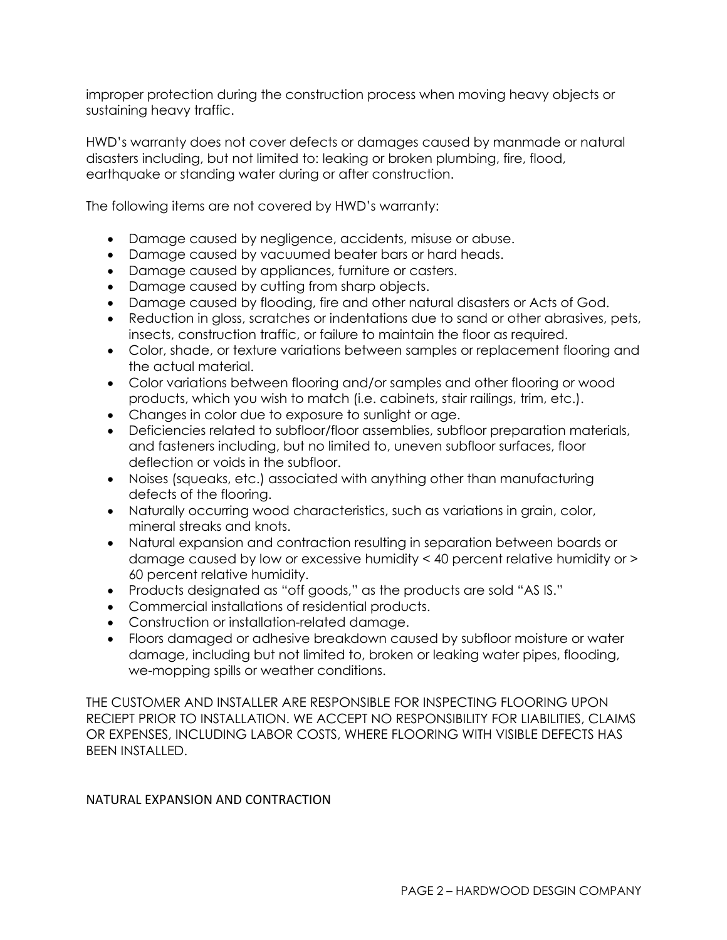improper protection during the construction process when moving heavy objects or sustaining heavy traffic.

HWD's warranty does not cover defects or damages caused by manmade or natural disasters including, but not limited to: leaking or broken plumbing, fire, flood, earthquake or standing water during or after construction.

The following items are not covered by HWD's warranty:

- Damage caused by negligence, accidents, misuse or abuse.
- Damage caused by vacuumed beater bars or hard heads.
- Damage caused by appliances, furniture or casters.
- Damage caused by cutting from sharp objects.
- Damage caused by flooding, fire and other natural disasters or Acts of God.
- Reduction in gloss, scratches or indentations due to sand or other abrasives, pets, insects, construction traffic, or failure to maintain the floor as required.
- Color, shade, or texture variations between samples or replacement flooring and the actual material.
- Color variations between flooring and/or samples and other flooring or wood products, which you wish to match (i.e. cabinets, stair railings, trim, etc.).
- Changes in color due to exposure to sunlight or age.
- Deficiencies related to subfloor/floor assemblies, subfloor preparation materials, and fasteners including, but no limited to, uneven subfloor surfaces, floor deflection or voids in the subfloor.
- Noises (squeaks, etc.) associated with anything other than manufacturing defects of the flooring.
- Naturally occurring wood characteristics, such as variations in grain, color, mineral streaks and knots.
- Natural expansion and contraction resulting in separation between boards or damage caused by low or excessive humidity < 40 percent relative humidity or > 60 percent relative humidity.
- Products designated as "off goods," as the products are sold "AS IS."
- Commercial installations of residential products.
- Construction or installation-related damage.
- Floors damaged or adhesive breakdown caused by subfloor moisture or water damage, including but not limited to, broken or leaking water pipes, flooding, we-mopping spills or weather conditions.

THE CUSTOMER AND INSTALLER ARE RESPONSIBLE FOR INSPECTING FLOORING UPON RECIEPT PRIOR TO INSTALLATION. WE ACCEPT NO RESPONSIBILITY FOR LIABILITIES, CLAIMS OR EXPENSES, INCLUDING LABOR COSTS, WHERE FLOORING WITH VISIBLE DEFECTS HAS BEEN INSTALLED.

# NATURAL EXPANSION AND CONTRACTION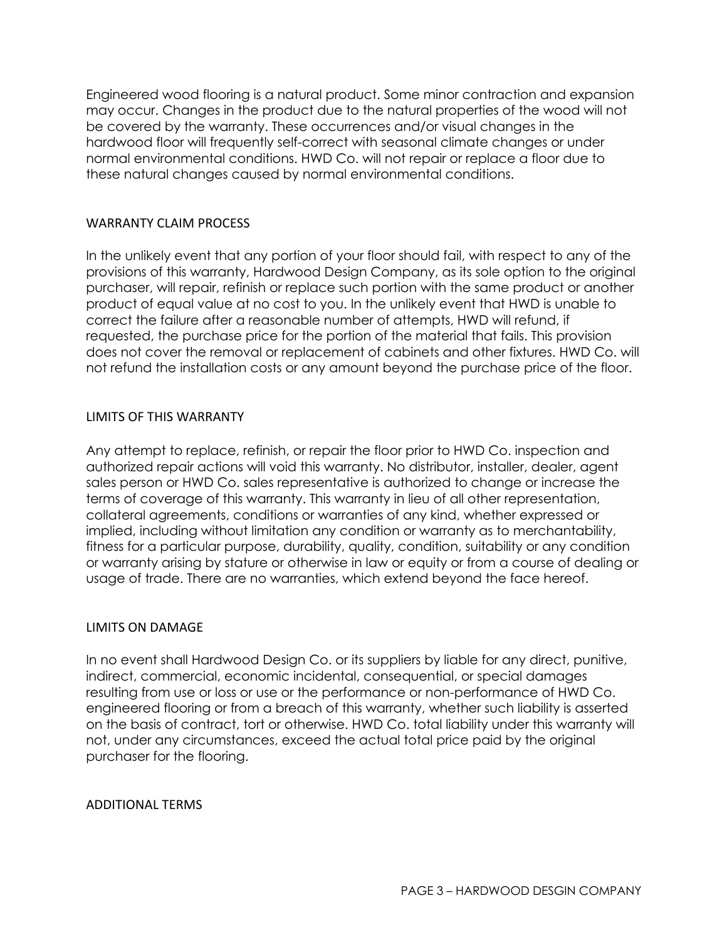Engineered wood flooring is a natural product. Some minor contraction and expansion may occur. Changes in the product due to the natural properties of the wood will not be covered by the warranty. These occurrences and/or visual changes in the hardwood floor will frequently self-correct with seasonal climate changes or under normal environmental conditions. HWD Co. will not repair or replace a floor due to these natural changes caused by normal environmental conditions.

## WARRANTY CLAIM PROCESS

In the unlikely event that any portion of your floor should fail, with respect to any of the provisions of this warranty, Hardwood Design Company, as its sole option to the original purchaser, will repair, refinish or replace such portion with the same product or another product of equal value at no cost to you. In the unlikely event that HWD is unable to correct the failure after a reasonable number of attempts, HWD will refund, if requested, the purchase price for the portion of the material that fails. This provision does not cover the removal or replacement of cabinets and other fixtures. HWD Co. will not refund the installation costs or any amount beyond the purchase price of the floor.

### LIMITS OF THIS WARRANTY

Any attempt to replace, refinish, or repair the floor prior to HWD Co. inspection and authorized repair actions will void this warranty. No distributor, installer, dealer, agent sales person or HWD Co. sales representative is authorized to change or increase the terms of coverage of this warranty. This warranty in lieu of all other representation, collateral agreements, conditions or warranties of any kind, whether expressed or implied, including without limitation any condition or warranty as to merchantability, fitness for a particular purpose, durability, quality, condition, suitability or any condition or warranty arising by stature or otherwise in law or equity or from a course of dealing or usage of trade. There are no warranties, which extend beyond the face hereof.

# LIMITS ON DAMAGE

In no event shall Hardwood Design Co. or its suppliers by liable for any direct, punitive, indirect, commercial, economic incidental, consequential, or special damages resulting from use or loss or use or the performance or non-performance of HWD Co. engineered flooring or from a breach of this warranty, whether such liability is asserted on the basis of contract, tort or otherwise. HWD Co. total liability under this warranty will not, under any circumstances, exceed the actual total price paid by the original purchaser for the flooring.

#### ADDITIONAL TERMS